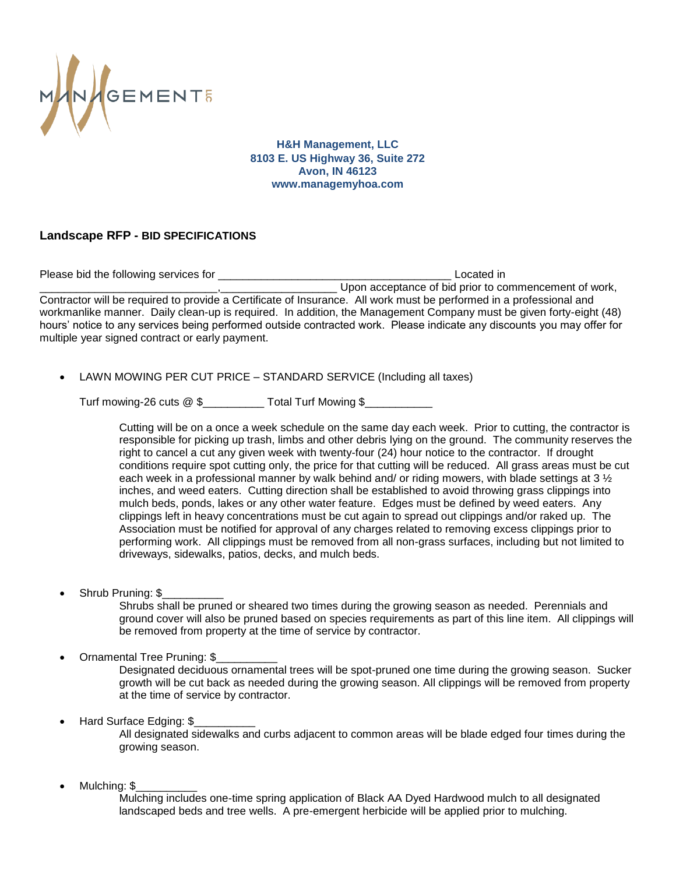

**H&H Management, LLC 8103 E. US Highway 36, Suite 272 Avon, IN 46123 www.managemyhoa.com**

## **Landscape RFP - BID SPECIFICATIONS**

Please bid the following services for **Example 20** and the service of the service of the service of the service of the service of the service of the service of the service of the service of the service of the service of th Upon acceptance of bid prior to commencement of work. Contractor will be required to provide a Certificate of Insurance. All work must be performed in a professional and workmanlike manner. Daily clean-up is required. In addition, the Management Company must be given forty-eight (48) hours' notice to any services being performed outside contracted work. Please indicate any discounts you may offer for multiple year signed contract or early payment.

LAWN MOWING PER CUT PRICE – STANDARD SERVICE (Including all taxes)

Turf mowing-26 cuts @ \$\_\_\_\_\_\_\_\_\_\_ Total Turf Mowing \$\_\_\_\_\_\_\_\_\_\_\_

Cutting will be on a once a week schedule on the same day each week. Prior to cutting, the contractor is responsible for picking up trash, limbs and other debris lying on the ground. The community reserves the right to cancel a cut any given week with twenty-four (24) hour notice to the contractor. If drought conditions require spot cutting only, the price for that cutting will be reduced. All grass areas must be cut each week in a professional manner by walk behind and/ or riding mowers, with blade settings at 3  $\frac{1}{2}$ inches, and weed eaters. Cutting direction shall be established to avoid throwing grass clippings into mulch beds, ponds, lakes or any other water feature. Edges must be defined by weed eaters. Any clippings left in heavy concentrations must be cut again to spread out clippings and/or raked up. The Association must be notified for approval of any charges related to removing excess clippings prior to performing work. All clippings must be removed from all non-grass surfaces, including but not limited to driveways, sidewalks, patios, decks, and mulch beds.

Shrub Pruning: \$

Shrubs shall be pruned or sheared two times during the growing season as needed. Perennials and ground cover will also be pruned based on species requirements as part of this line item. All clippings will be removed from property at the time of service by contractor.

Ornamental Tree Pruning: \$\_\_\_\_\_\_\_\_\_\_

Designated deciduous ornamental trees will be spot-pruned one time during the growing season. Sucker growth will be cut back as needed during the growing season. All clippings will be removed from property at the time of service by contractor.

Hard Surface Edging: \$

All designated sidewalks and curbs adjacent to common areas will be blade edged four times during the growing season.

Mulching: \$\_\_\_\_\_\_\_\_\_\_

Mulching includes one-time spring application of Black AA Dyed Hardwood mulch to all designated landscaped beds and tree wells. A pre-emergent herbicide will be applied prior to mulching.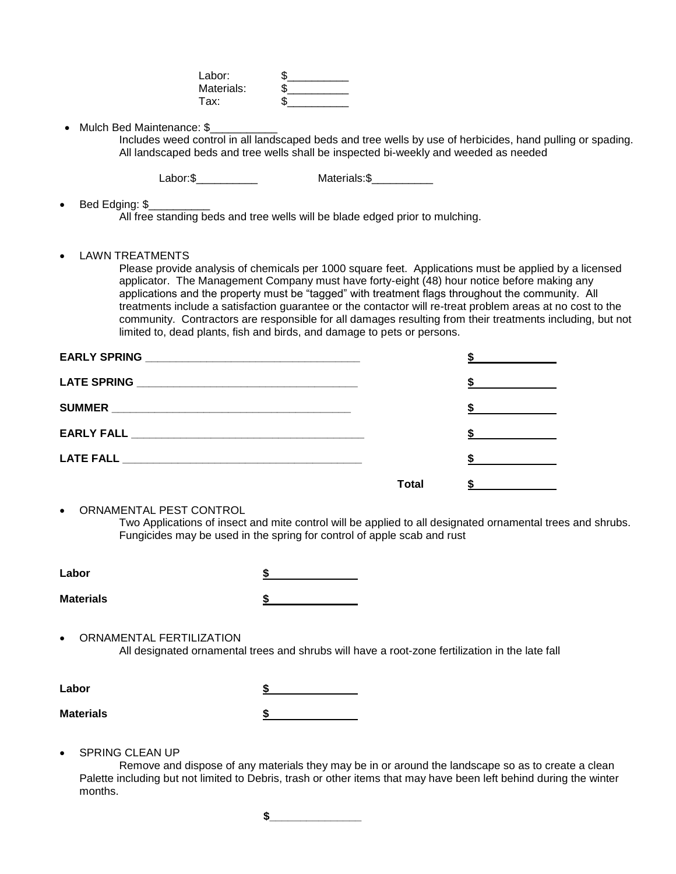| Labor:     |  |
|------------|--|
| Materials: |  |
| Tax:       |  |

• Mulch Bed Maintenance: \$

Includes weed control in all landscaped beds and tree wells by use of herbicides, hand pulling or spading. All landscaped beds and tree wells shall be inspected bi-weekly and weeded as needed

Labor:\$\_\_\_\_\_\_\_\_\_\_ Materials:\$\_\_\_\_\_\_\_\_\_\_

Bed Edging: \$\_\_\_\_\_\_\_\_\_\_

All free standing beds and tree wells will be blade edged prior to mulching.

LAWN TREATMENTS

Please provide analysis of chemicals per 1000 square feet. Applications must be applied by a licensed applicator. The Management Company must have forty-eight (48) hour notice before making any applications and the property must be "tagged" with treatment flags throughout the community. All treatments include a satisfaction guarantee or the contactor will re-treat problem areas at no cost to the community. Contractors are responsible for all damages resulting from their treatments including, but not limited to, dead plants, fish and birds, and damage to pets or persons.

|       | <u>and the contract of the contract of</u>                                                                                                                                                                                                                                                    |
|-------|-----------------------------------------------------------------------------------------------------------------------------------------------------------------------------------------------------------------------------------------------------------------------------------------------|
|       | $\frac{3}{2}$ and $\frac{3}{2}$ and $\frac{3}{2}$ and $\frac{3}{2}$ and $\frac{3}{2}$ and $\frac{3}{2}$ and $\frac{3}{2}$ and $\frac{3}{2}$ and $\frac{3}{2}$ and $\frac{3}{2}$ and $\frac{3}{2}$ and $\frac{3}{2}$ and $\frac{3}{2}$ and $\frac{3}{2}$ and $\frac{3}{2}$ and $\frac{3}{2}$ a |
|       | $\frac{1}{2}$                                                                                                                                                                                                                                                                                 |
|       | $\sim$ $\sim$                                                                                                                                                                                                                                                                                 |
|       | $\sim$ 5                                                                                                                                                                                                                                                                                      |
| Total |                                                                                                                                                                                                                                                                                               |

ORNAMENTAL PEST CONTROL

Two Applications of insect and mite control will be applied to all designated ornamental trees and shrubs. Fungicides may be used in the spring for control of apple scab and rust

| Labor            |    |
|------------------|----|
| <b>Materials</b> | -1 |

 ORNAMENTAL FERTILIZATION All designated ornamental trees and shrubs will have a root-zone fertilization in the late fall

| Labor            |   |
|------------------|---|
| <b>Materials</b> | J |

SPRING CLEAN UP

 Remove and dispose of any materials they may be in or around the landscape so as to create a clean Palette including but not limited to Debris, trash or other items that may have been left behind during the winter months.

**\$\_\_\_\_\_\_\_\_\_\_\_\_\_\_\_**